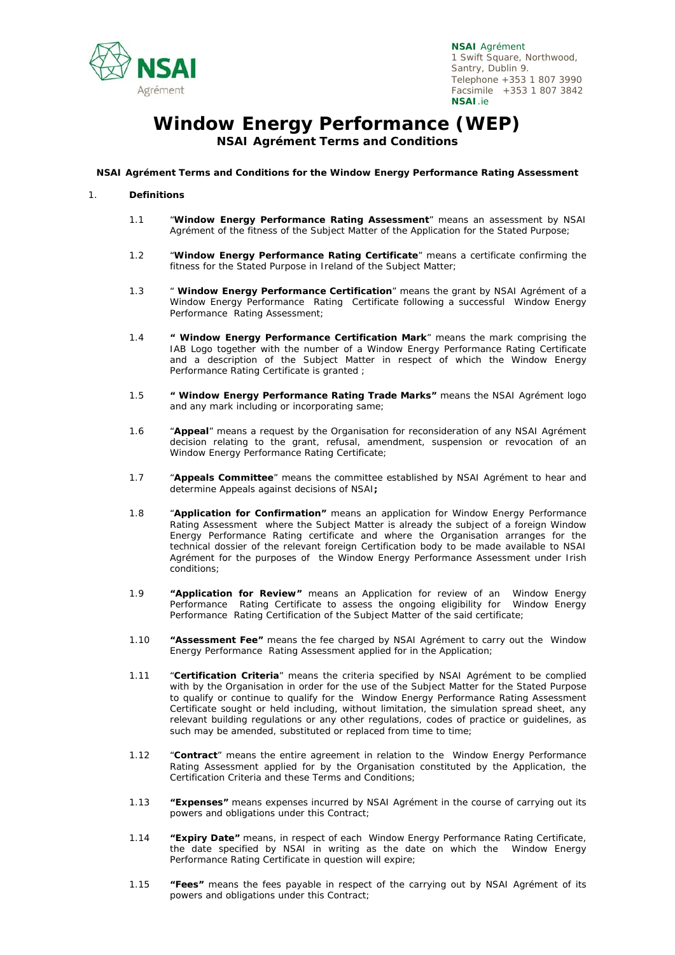

# **Window Energy Performance (WEP)**

**NSAI Agrément Terms and Conditions** 

#### **NSAI Agrément Terms and Conditions for the Window Energy Performance Rating Assessment**

#### 1. **Definitions**

- 1.1 "**Window Energy Performance Rating Assessment**" means an assessment by NSAI Agrément of the fitness of the Subject Matter of the Application for the Stated Purpose;
- 1.2 "**Window Energy Performance Rating Certificate**" means a certificate confirming the fitness for the Stated Purpose in Ireland of the Subject Matter;
- 1.3 " **Window Energy Performance Certification**" means the grant by NSAI Agrément of a Window Energy Performance Rating Certificate following a successful Window Energy Performance Rating Assessment;
- 1.4 **" Window Energy Performance Certification Mark**" means the mark comprising the IAB Logo together with the number of a Window Energy Performance Rating Certificate and a description of the Subject Matter in respect of which the Window Energy Performance Rating Certificate is granted ;
- 1.5 **" Window Energy Performance Rating Trade Marks"** means the NSAI Agrément logo and any mark including or incorporating same;
- 1.6 "**Appeal**" means a request by the Organisation for reconsideration of any NSAI Agrément decision relating to the grant, refusal, amendment, suspension or revocation of an Window Energy Performance Rating Certificate;
- 1.7 "**Appeals Committee**" means the committee established by NSAI Agrément to hear and determine Appeals against decisions of NSAI**;**
- 1.8 "**Application for Confirmation"** means an application for Window Energy Performance Rating Assessment where the Subject Matter is already the subject of a foreign Window Energy Performance Rating certificate and where the Organisation arranges for the technical dossier of the relevant foreign Certification body to be made available to NSAI Agrément for the purposes of the Window Energy Performance Assessment under Irish conditions;
- 1.9 **"Application for Review"** means an Application for review of an Window Energy Performance Rating Certificate to assess the ongoing eligibility for Window Energy Performance Rating Certification of the Subject Matter of the said certificate;
- 1.10 **"Assessment Fee"** means the fee charged by NSAI Agrément to carry out the Window Energy Performance Rating Assessment applied for in the Application;
- 1.11 "**Certification Criteria**" means the criteria specified by NSAI Agrément to be complied with by the Organisation in order for the use of the Subject Matter for the Stated Purpose to qualify or continue to qualify for the Window Energy Performance Rating Assessment Certificate sought or held including, without limitation, the simulation spread sheet, any relevant building regulations or any other regulations, codes of practice or guidelines, as such may be amended, substituted or replaced from time to time;
- 1.12 "**Contract**" means the entire agreement in relation to the Window Energy Performance Rating Assessment applied for by the Organisation constituted by the Application, the Certification Criteria and these Terms and Conditions;
- 1.13 **"Expenses"** means expenses incurred by NSAI Agrément in the course of carrying out its powers and obligations under this Contract;
- 1.14 **"Expiry Date"** means, in respect of each Window Energy Performance Rating Certificate, the date specified by NSAI in writing as the date on which the Window Energy Performance Rating Certificate in question will expire;
- 1.15 **"Fees"** means the fees payable in respect of the carrying out by NSAI Agrément of its powers and obligations under this Contract;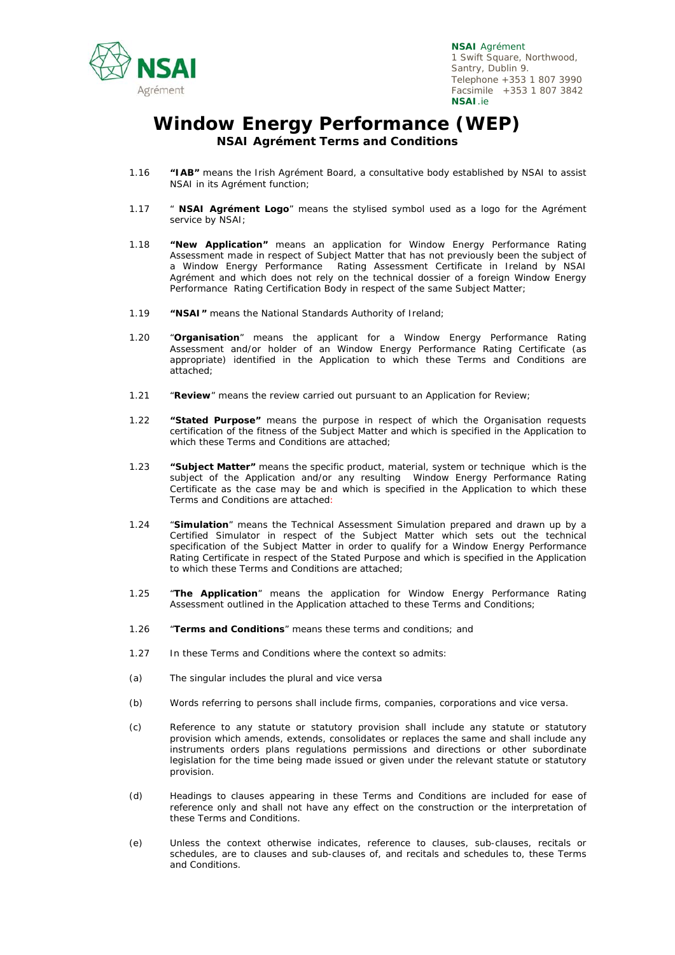

### **Window Energy Performance (WEP) NSAI Agrément Terms and Conditions**

- 1.16 **"IAB"** means the Irish Agrément Board, a consultative body established by NSAI to assist NSAI in its Agrément function;
- 1.17 " **NSAI Agrément Logo**" means the stylised symbol used as a logo for the Agrément service by NSAI;
- 1.18 **"New Application"** means an application for Window Energy Performance Rating Assessment made in respect of Subject Matter that has not previously been the subject of a Window Energy Performance Rating Assessment Certificate in Ireland by NSAI Agrément and which does not rely on the technical dossier of a foreign Window Energy Performance Rating Certification Body in respect of the same Subject Matter;
- 1.19 **"NSAI"** means the National Standards Authority of Ireland;
- 1.20 "**Organisation**" means the applicant for a Window Energy Performance Rating Assessment and/or holder of an Window Energy Performance Rating Certificate (as appropriate) identified in the Application to which these Terms and Conditions are attached;
- 1.21 "**Review**" means the review carried out pursuant to an Application for Review;
- 1.22 **"Stated Purpose"** means the purpose in respect of which the Organisation requests certification of the fitness of the Subject Matter and which is specified in the Application to which these Terms and Conditions are attached;
- 1.23 **"Subject Matter"** means the specific product, material, system or technique which is the subject of the Application and/or any resulting Window Energy Performance Rating Certificate as the case may be and which is specified in the Application to which these Terms and Conditions are attached:
- 1.24 "**Simulation**" means the Technical Assessment Simulation prepared and drawn up by a Certified Simulator in respect of the Subject Matter which sets out the technical specification of the Subject Matter in order to qualify for a Window Energy Performance Rating Certificate in respect of the Stated Purpose and which is specified in the Application to which these Terms and Conditions are attached;
- 1.25 "**The Application**" means the application for Window Energy Performance Rating Assessment outlined in the Application attached to these Terms and Conditions;
- 1.26 "**Terms and Conditions**" means these terms and conditions; and
- 1.27 In these Terms and Conditions where the context so admits:
- (a) The singular includes the plural and vice versa
- (b) Words referring to persons shall include firms, companies, corporations and vice versa.
- (c) Reference to any statute or statutory provision shall include any statute or statutory provision which amends, extends, consolidates or replaces the same and shall include any instruments orders plans regulations permissions and directions or other subordinate legislation for the time being made issued or given under the relevant statute or statutory provision.
- (d) Headings to clauses appearing in these Terms and Conditions are included for ease of reference only and shall not have any effect on the construction or the interpretation of these Terms and Conditions.
- (e) Unless the context otherwise indicates, reference to clauses, sub-clauses, recitals or schedules, are to clauses and sub-clauses of, and recitals and schedules to, these Terms and Conditions.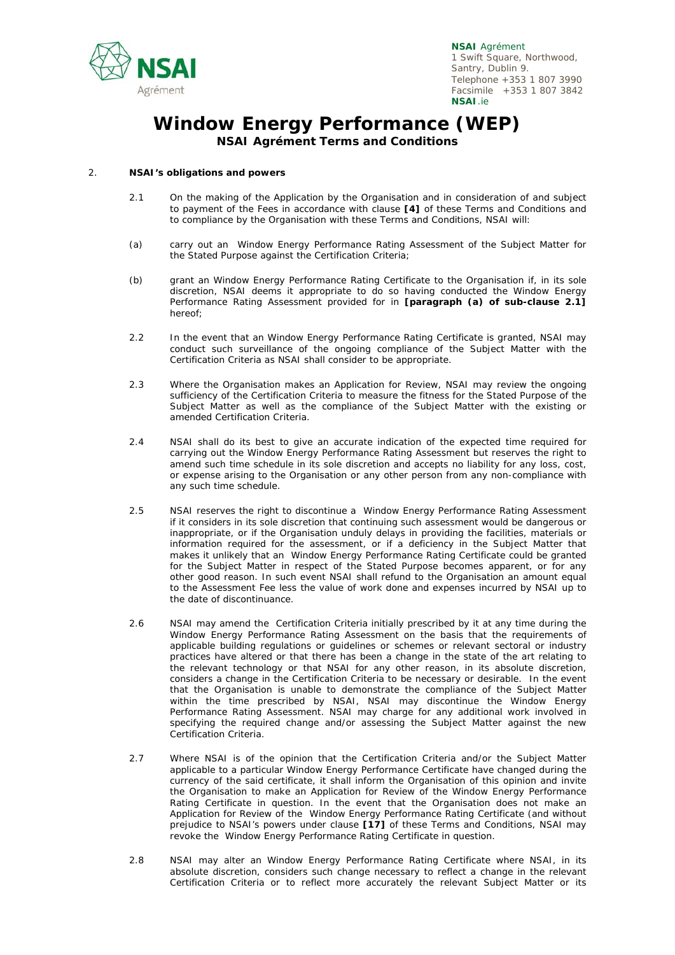

# **Window Energy Performance (WEP)**

**NSAI Agrément Terms and Conditions** 

#### 2. **NSAI's obligations and powers**

- 2.1 On the making of the Application by the Organisation and in consideration of and subject to payment of the Fees in accordance with clause **[4]** of these Terms and Conditions and to compliance by the Organisation with these Terms and Conditions, NSAI will:
- (a) carry out an Window Energy Performance Rating Assessment of the Subject Matter for the Stated Purpose against the Certification Criteria;
- (b) grant an Window Energy Performance Rating Certificate to the Organisation if, in its sole discretion, NSAI deems it appropriate to do so having conducted the Window Energy Performance Rating Assessment provided for in **[paragraph (a) of sub-clause 2.1]** hereof;
- 2.2 In the event that an Window Energy Performance Rating Certificate is granted, NSAI may conduct such surveillance of the ongoing compliance of the Subject Matter with the Certification Criteria as NSAI shall consider to be appropriate.
- 2.3 Where the Organisation makes an Application for Review, NSAI may review the ongoing sufficiency of the Certification Criteria to measure the fitness for the Stated Purpose of the Subject Matter as well as the compliance of the Subject Matter with the existing or amended Certification Criteria.
- 2.4 NSAI shall do its best to give an accurate indication of the expected time required for carrying out the Window Energy Performance Rating Assessment but reserves the right to amend such time schedule in its sole discretion and accepts no liability for any loss, cost, or expense arising to the Organisation or any other person from any non-compliance with any such time schedule.
- 2.5 NSAI reserves the right to discontinue a Window Energy Performance Rating Assessment if it considers in its sole discretion that continuing such assessment would be dangerous or inappropriate, or if the Organisation unduly delays in providing the facilities, materials or information required for the assessment, or if a deficiency in the Subject Matter that makes it unlikely that an Window Energy Performance Rating Certificate could be granted for the Subject Matter in respect of the Stated Purpose becomes apparent, or for any other good reason. In such event NSAI shall refund to the Organisation an amount equal to the Assessment Fee less the value of work done and expenses incurred by NSAI up to the date of discontinuance.
- 2.6 NSAI may amend the Certification Criteria initially prescribed by it at any time during the Window Energy Performance Rating Assessment on the basis that the requirements of applicable building regulations or guidelines or schemes or relevant sectoral or industry practices have altered or that there has been a change in the state of the art relating to the relevant technology or that NSAI for any other reason, in its absolute discretion, considers a change in the Certification Criteria to be necessary or desirable. In the event that the Organisation is unable to demonstrate the compliance of the Subject Matter within the time prescribed by NSAI, NSAI may discontinue the Window Energy Performance Rating Assessment. NSAI may charge for any additional work involved in specifying the required change and/or assessing the Subject Matter against the new Certification Criteria.
- 2.7 Where NSAI is of the opinion that the Certification Criteria and/or the Subject Matter applicable to a particular Window Energy Performance Certificate have changed during the currency of the said certificate, it shall inform the Organisation of this opinion and invite the Organisation to make an Application for Review of the Window Energy Performance Rating Certificate in question. In the event that the Organisation does not make an Application for Review of the Window Energy Performance Rating Certificate (and without prejudice to NSAI's powers under clause **[17]** of these Terms and Conditions, NSAI may revoke the Window Energy Performance Rating Certificate in question.
- 2.8 NSAI may alter an Window Energy Performance Rating Certificate where NSAI, in its absolute discretion, considers such change necessary to reflect a change in the relevant Certification Criteria or to reflect more accurately the relevant Subject Matter or its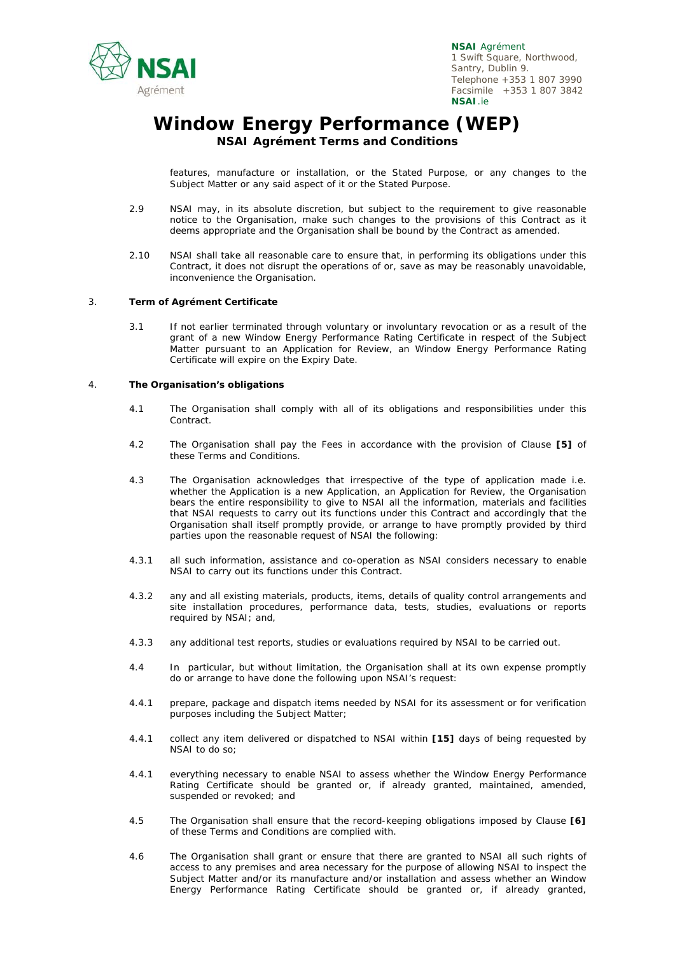

### **Window Energy Performance (WEP) NSAI Agrément Terms and Conditions**

features, manufacture or installation, or the Stated Purpose, or any changes to the Subject Matter or any said aspect of it or the Stated Purpose.

- 2.9 NSAI may, in its absolute discretion, but subject to the requirement to give reasonable notice to the Organisation, make such changes to the provisions of this Contract as it deems appropriate and the Organisation shall be bound by the Contract as amended.
- 2.10 NSAI shall take all reasonable care to ensure that, in performing its obligations under this Contract, it does not disrupt the operations of or, save as may be reasonably unavoidable, inconvenience the Organisation.

#### 3. **Term of Agrément Certificate**

3.1 If not earlier terminated through voluntary or involuntary revocation or as a result of the grant of a new Window Energy Performance Rating Certificate in respect of the Subject Matter pursuant to an Application for Review, an Window Energy Performance Rating Certificate will expire on the Expiry Date.

#### 4. **The Organisation's obligations**

- 4.1 The Organisation shall comply with all of its obligations and responsibilities under this Contract.
- 4.2 The Organisation shall pay the Fees in accordance with the provision of Clause **[5]** of these Terms and Conditions.
- 4.3 The Organisation acknowledges that irrespective of the type of application made i.e. whether the Application is a new Application, an Application for Review, the Organisation bears the entire responsibility to give to NSAI all the information, materials and facilities that NSAI requests to carry out its functions under this Contract and accordingly that the Organisation shall itself promptly provide, or arrange to have promptly provided by third parties upon the reasonable request of NSAI the following:
- 4.3.1 all such information, assistance and co-operation as NSAI considers necessary to enable NSAI to carry out its functions under this Contract.
- 4.3.2 any and all existing materials, products, items, details of quality control arrangements and site installation procedures, performance data, tests, studies, evaluations or reports required by NSAI; and,
- 4.3.3 any additional test reports, studies or evaluations required by NSAI to be carried out.
- 4.4 In particular, but without limitation, the Organisation shall at its own expense promptly do or arrange to have done the following upon NSAI's request:
- 4.4.1 prepare, package and dispatch items needed by NSAI for its assessment or for verification purposes including the Subject Matter;
- 4.4.1 collect any item delivered or dispatched to NSAI within **[15]** days of being requested by NSAI to do so;
- 4.4.1 everything necessary to enable NSAI to assess whether the Window Energy Performance Rating Certificate should be granted or, if already granted, maintained, amended, suspended or revoked; and
- 4.5 The Organisation shall ensure that the record-keeping obligations imposed by Clause **[6]** of these Terms and Conditions are complied with.
- 4.6 The Organisation shall grant or ensure that there are granted to NSAI all such rights of access to any premises and area necessary for the purpose of allowing NSAI to inspect the Subject Matter and/or its manufacture and/or installation and assess whether an Window Energy Performance Rating Certificate should be granted or, if already granted,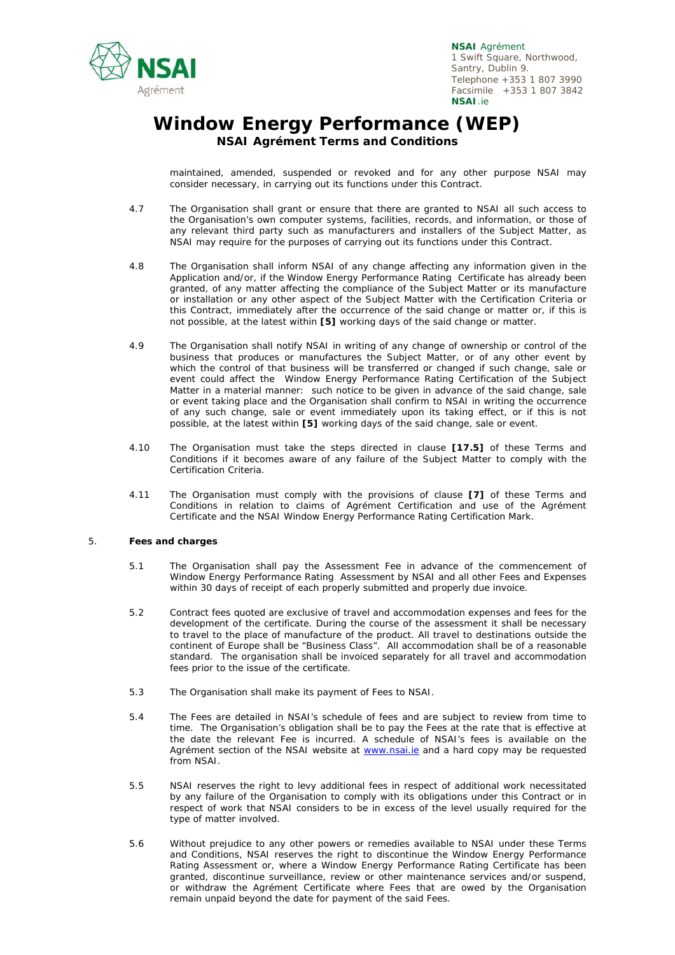

# **Window Energy Performance (WEP) NSAI Agrément Terms and Conditions**

maintained, amended, suspended or revoked and for any other purpose NSAI may consider necessary, in carrying out its functions under this Contract.

- 4.7 The Organisation shall grant or ensure that there are granted to NSAI all such access to the Organisation's own computer systems, facilities, records, and information, or those of any relevant third party such as manufacturers and installers of the Subject Matter, as NSAI may require for the purposes of carrying out its functions under this Contract.
- 4.8 The Organisation shall inform NSAI of any change affecting any information given in the Application and/or, if the Window Energy Performance Rating Certificate has already been granted, of any matter affecting the compliance of the Subject Matter or its manufacture or installation or any other aspect of the Subject Matter with the Certification Criteria or this Contract, immediately after the occurrence of the said change or matter or, if this is not possible, at the latest within **[5]** working days of the said change or matter.
- 4.9 The Organisation shall notify NSAI in writing of any change of ownership or control of the business that produces or manufactures the Subject Matter, or of any other event by which the control of that business will be transferred or changed if such change, sale or event could affect the Window Energy Performance Rating Certification of the Subject Matter in a material manner: such notice to be given in advance of the said change, sale or event taking place and the Organisation shall confirm to NSAI in writing the occurrence of any such change, sale or event immediately upon its taking effect, or if this is not possible, at the latest within **[5]** working days of the said change, sale or event.
- 4.10 The Organisation must take the steps directed in clause **[17.5]** of these Terms and Conditions if it becomes aware of any failure of the Subject Matter to comply with the Certification Criteria.
- 4.11 The Organisation must comply with the provisions of clause **[7]** of these Terms and Conditions in relation to claims of Agrément Certification and use of the Agrément Certificate and the NSAI Window Energy Performance Rating Certification Mark.

#### 5. **Fees and charges**

- 5.1 The Organisation shall pay the Assessment Fee in advance of the commencement of Window Energy Performance Rating Assessment by NSAI and all other Fees and Expenses within 30 days of receipt of each properly submitted and properly due invoice.
- 5.2 Contract fees quoted are exclusive of travel and accommodation expenses and fees for the development of the certificate. During the course of the assessment it shall be necessary to travel to the place of manufacture of the product. All travel to destinations outside the continent of Europe shall be "Business Class". All accommodation shall be of a reasonable standard. The organisation shall be invoiced separately for all travel and accommodation fees prior to the issue of the certificate.
- 5.3 The Organisation shall make its payment of Fees to NSAI.
- 5.4 The Fees are detailed in NSAI's schedule of fees and are subject to review from time to time. The Organisation's obligation shall be to pay the Fees at the rate that is effective at the date the relevant Fee is incurred. A schedule of NSAI's fees is available on the Agrément section of the NSAI website at www.nsai.ie and a hard copy may be requested from NSAI.
- 5.5 NSAI reserves the right to levy additional fees in respect of additional work necessitated by any failure of the Organisation to comply with its obligations under this Contract or in respect of work that NSAI considers to be in excess of the level usually required for the type of matter involved.
- 5.6 Without prejudice to any other powers or remedies available to NSAI under these Terms and Conditions, NSAI reserves the right to discontinue the Window Energy Performance Rating Assessment or, where a Window Energy Performance Rating Certificate has been granted, discontinue surveillance, review or other maintenance services and/or suspend, or withdraw the Agrément Certificate where Fees that are owed by the Organisation remain unpaid beyond the date for payment of the said Fees.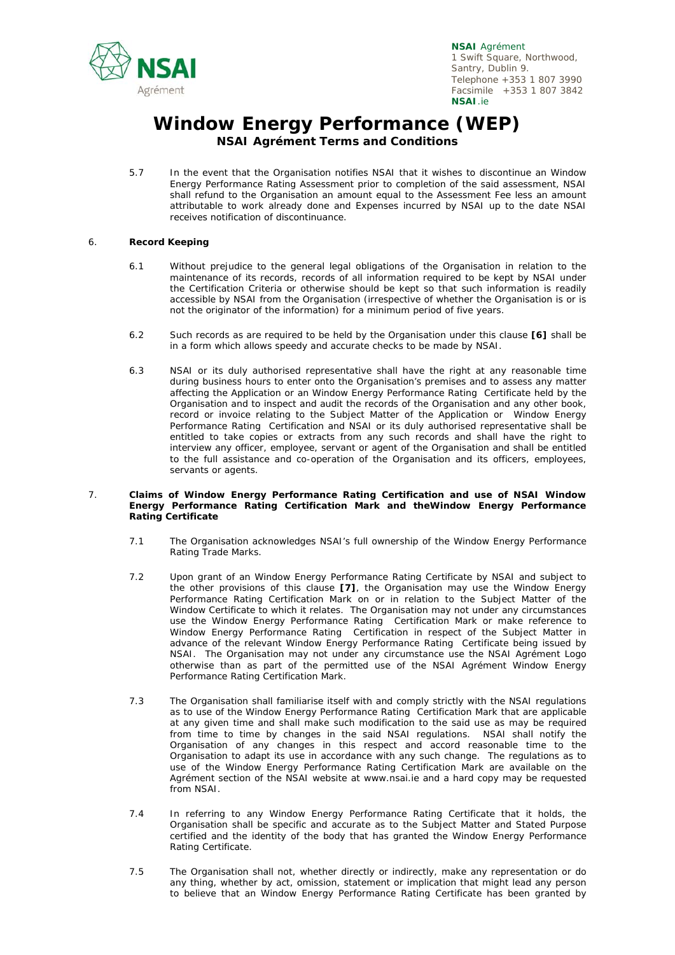

## **Window Energy Performance (WEP) NSAI Agrément Terms and Conditions**

5.7 In the event that the Organisation notifies NSAI that it wishes to discontinue an Window Energy Performance Rating Assessment prior to completion of the said assessment, NSAI shall refund to the Organisation an amount equal to the Assessment Fee less an amount attributable to work already done and Expenses incurred by NSAI up to the date NSAI receives notification of discontinuance.

#### 6. **Record Keeping**

- 6.1 Without prejudice to the general legal obligations of the Organisation in relation to the maintenance of its records, records of all information required to be kept by NSAI under the Certification Criteria or otherwise should be kept so that such information is readily accessible by NSAI from the Organisation (irrespective of whether the Organisation is or is not the originator of the information) for a minimum period of five years.
- 6.2 Such records as are required to be held by the Organisation under this clause **[6]** shall be in a form which allows speedy and accurate checks to be made by NSAI.
- 6.3 NSAI or its duly authorised representative shall have the right at any reasonable time during business hours to enter onto the Organisation's premises and to assess any matter affecting the Application or an Window Energy Performance Rating Certificate held by the Organisation and to inspect and audit the records of the Organisation and any other book, record or invoice relating to the Subject Matter of the Application or Window Energy Performance Rating Certification and NSAI or its duly authorised representative shall be entitled to take copies or extracts from any such records and shall have the right to interview any officer, employee, servant or agent of the Organisation and shall be entitled to the full assistance and co-operation of the Organisation and its officers, employees, servants or agents.

#### 7. **Claims of Window Energy Performance Rating Certification and use of NSAI Window Energy Performance Rating Certification Mark and theWindow Energy Performance Rating Certificate**

- 7.1 The Organisation acknowledges NSAI's full ownership of the Window Energy Performance Rating Trade Marks.
- 7.2 Upon grant of an Window Energy Performance Rating Certificate by NSAI and subject to the other provisions of this clause **[7]**, the Organisation may use the Window Energy Performance Rating Certification Mark on or in relation to the Subject Matter of the Window Certificate to which it relates. The Organisation may not under any circumstances use the Window Energy Performance Rating Certification Mark or make reference to Window Energy Performance Rating Certification in respect of the Subject Matter in advance of the relevant Window Energy Performance Rating Certificate being issued by NSAI. The Organisation may not under any circumstance use the NSAI Agrément Logo otherwise than as part of the permitted use of the NSAI Agrément Window Energy Performance Rating Certification Mark.
- 7.3 The Organisation shall familiarise itself with and comply strictly with the NSAI regulations as to use of the Window Energy Performance Rating Certification Mark that are applicable at any given time and shall make such modification to the said use as may be required from time to time by changes in the said NSAI regulations. NSAI shall notify the Organisation of any changes in this respect and accord reasonable time to the Organisation to adapt its use in accordance with any such change. The regulations as to use of the Window Energy Performance Rating Certification Mark are available on the Agrément section of the NSAI website at www.nsai.ie and a hard copy may be requested from NSAI.
- 7.4 In referring to any Window Energy Performance Rating Certificate that it holds, the Organisation shall be specific and accurate as to the Subject Matter and Stated Purpose certified and the identity of the body that has granted the Window Energy Performance Rating Certificate.
- 7.5 The Organisation shall not, whether directly or indirectly, make any representation or do any thing, whether by act, omission, statement or implication that might lead any person to believe that an Window Energy Performance Rating Certificate has been granted by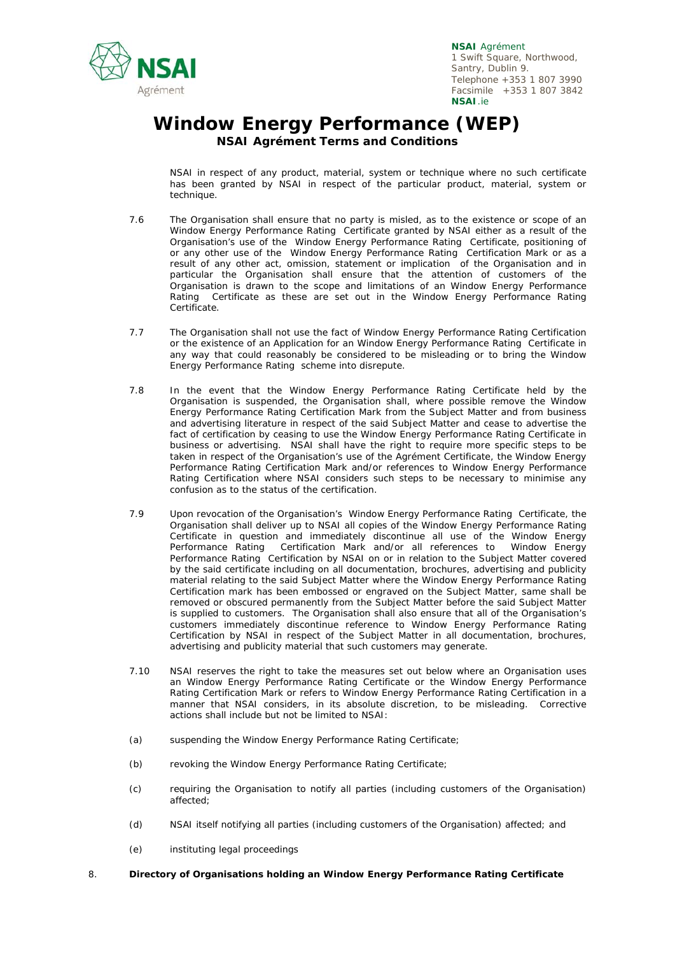

# **Window Energy Performance (WEP) NSAI Agrément Terms and Conditions**

NSAI in respect of any product, material, system or technique where no such certificate has been granted by NSAI in respect of the particular product, material, system or technique.

- 7.6 The Organisation shall ensure that no party is misled, as to the existence or scope of an Window Energy Performance Rating Certificate granted by NSAI either as a result of the Organisation's use of the Window Energy Performance Rating Certificate, positioning of or any other use of the Window Energy Performance Rating Certification Mark or as a result of any other act, omission, statement or implication of the Organisation and in particular the Organisation shall ensure that the attention of customers of the Organisation is drawn to the scope and limitations of an Window Energy Performance Rating Certificate as these are set out in the Window Energy Performance Rating Certificate.
- 7.7 The Organisation shall not use the fact of Window Energy Performance Rating Certification or the existence of an Application for an Window Energy Performance Rating Certificate in any way that could reasonably be considered to be misleading or to bring the Window Energy Performance Rating scheme into disrepute.
- 7.8 In the event that the Window Energy Performance Rating Certificate held by the Organisation is suspended, the Organisation shall, where possible remove the Window Energy Performance Rating Certification Mark from the Subject Matter and from business and advertising literature in respect of the said Subject Matter and cease to advertise the fact of certification by ceasing to use the Window Energy Performance Rating Certificate in business or advertising. NSAI shall have the right to require more specific steps to be taken in respect of the Organisation's use of the Agrément Certificate, the Window Energy Performance Rating Certification Mark and/or references to Window Energy Performance Rating Certification where NSAI considers such steps to be necessary to minimise any confusion as to the status of the certification.
- 7.9 Upon revocation of the Organisation's Window Energy Performance Rating Certificate, the Organisation shall deliver up to NSAI all copies of the Window Energy Performance Rating Certificate in question and immediately discontinue all use of the Window Energy Performance Rating Certification Mark and/or all references to Window Energy Performance Rating Certification by NSAI on or in relation to the Subject Matter covered by the said certificate including on all documentation, brochures, advertising and publicity material relating to the said Subject Matter where the Window Energy Performance Rating Certification mark has been embossed or engraved on the Subject Matter, same shall be removed or obscured permanently from the Subject Matter before the said Subject Matter is supplied to customers. The Organisation shall also ensure that all of the Organisation's customers immediately discontinue reference to Window Energy Performance Rating Certification by NSAI in respect of the Subject Matter in all documentation, brochures, advertising and publicity material that such customers may generate.
- 7.10 NSAI reserves the right to take the measures set out below where an Organisation uses an Window Energy Performance Rating Certificate or the Window Energy Performance Rating Certification Mark or refers to Window Energy Performance Rating Certification in a manner that NSAI considers, in its absolute discretion, to be misleading. Corrective actions shall include but not be limited to NSAI:
- (a) suspending the Window Energy Performance Rating Certificate;
- (b) revoking the Window Energy Performance Rating Certificate;
- (c) requiring the Organisation to notify all parties (including customers of the Organisation) affected;
- (d) NSAI itself notifying all parties (including customers of the Organisation) affected; and
- (e) instituting legal proceedings
- 8. **Directory of Organisations holding an Window Energy Performance Rating Certificate**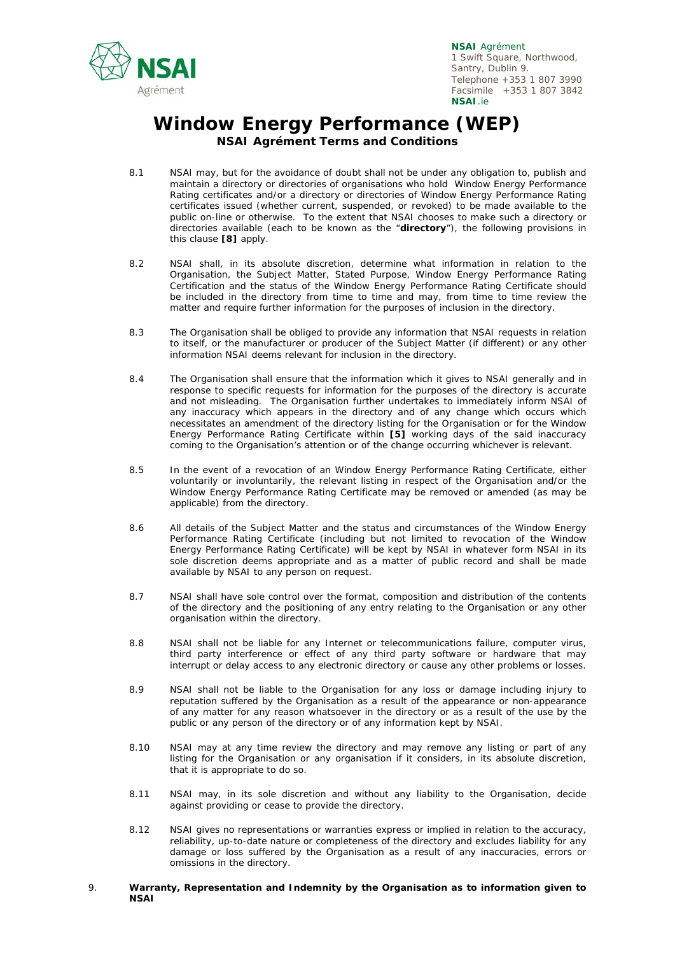

# **Window Energy Performance (WEP) NSAI Agrément Terms and Conditions**

- 8.1 NSAI may, but for the avoidance of doubt shall not be under any obligation to, publish and maintain a directory or directories of organisations who hold Window Energy Performance Rating certificates and/or a directory or directories of Window Energy Performance Rating certificates issued (whether current, suspended, or revoked) to be made available to the public on-line or otherwise. To the extent that NSAI chooses to make such a directory or directories available (each to be known as the "**directory**"), the following provisions in this clause **[8]** apply.
- 8.2 NSAI shall, in its absolute discretion, determine what information in relation to the Organisation, the Subject Matter, Stated Purpose, Window Energy Performance Rating Certification and the status of the Window Energy Performance Rating Certificate should be included in the directory from time to time and may, from time to time review the matter and require further information for the purposes of inclusion in the directory.
- 8.3 The Organisation shall be obliged to provide any information that NSAI requests in relation to itself, or the manufacturer or producer of the Subject Matter (if different) or any other information NSAI deems relevant for inclusion in the directory.
- 8.4 The Organisation shall ensure that the information which it gives to NSAI generally and in response to specific requests for information for the purposes of the directory is accurate and not misleading. The Organisation further undertakes to immediately inform NSAI of any inaccuracy which appears in the directory and of any change which occurs which necessitates an amendment of the directory listing for the Organisation or for the Window Energy Performance Rating Certificate within **[5]** working days of the said inaccuracy coming to the Organisation's attention or of the change occurring whichever is relevant.
- 8.5 In the event of a revocation of an Window Energy Performance Rating Certificate, either voluntarily or involuntarily, the relevant listing in respect of the Organisation and/or the Window Energy Performance Rating Certificate may be removed or amended (as may be applicable) from the directory.
- 8.6 All details of the Subject Matter and the status and circumstances of the Window Energy Performance Rating Certificate (including but not limited to revocation of the Window Energy Performance Rating Certificate) will be kept by NSAI in whatever form NSAI in its sole discretion deems appropriate and as a matter of public record and shall be made available by NSAI to any person on request.
- 8.7 NSAI shall have sole control over the format, composition and distribution of the contents of the directory and the positioning of any entry relating to the Organisation or any other organisation within the directory.
- 8.8 NSAI shall not be liable for any Internet or telecommunications failure, computer virus, third party interference or effect of any third party software or hardware that may interrupt or delay access to any electronic directory or cause any other problems or losses.
- 8.9 NSAI shall not be liable to the Organisation for any loss or damage including injury to reputation suffered by the Organisation as a result of the appearance or non-appearance of any matter for any reason whatsoever in the directory or as a result of the use by the public or any person of the directory or of any information kept by NSAI.
- 8.10 NSAI may at any time review the directory and may remove any listing or part of any listing for the Organisation or any organisation if it considers, in its absolute discretion, that it is appropriate to do so.
- 8.11 NSAI may, in its sole discretion and without any liability to the Organisation, decide against providing or cease to provide the directory.
- 8.12 NSAI gives no representations or warranties express or implied in relation to the accuracy, reliability, up-to-date nature or completeness of the directory and excludes liability for any damage or loss suffered by the Organisation as a result of any inaccuracies, errors or omissions in the directory.
- 9. **Warranty, Representation and Indemnity by the Organisation as to information given to NSAI**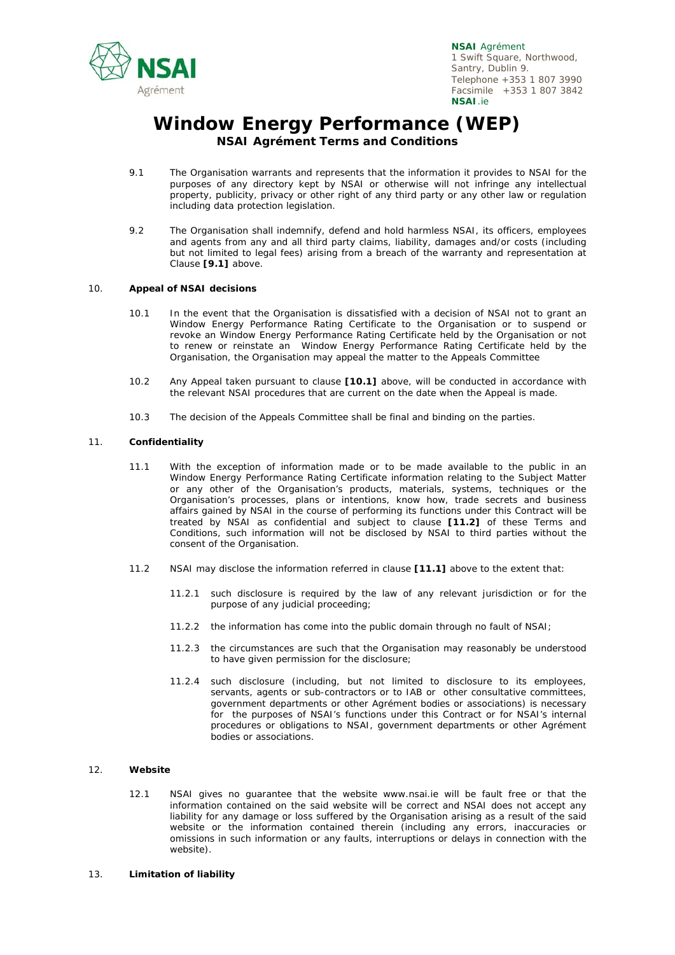

## **Window Energy Performance (WEP) NSAI Agrément Terms and Conditions**

- 9.1 The Organisation warrants and represents that the information it provides to NSAI for the purposes of any directory kept by NSAI or otherwise will not infringe any intellectual property, publicity, privacy or other right of any third party or any other law or regulation including data protection legislation.
- 9.2 The Organisation shall indemnify, defend and hold harmless NSAI, its officers, employees and agents from any and all third party claims, liability, damages and/or costs (including but not limited to legal fees) arising from a breach of the warranty and representation at Clause **[9.1]** above.

#### 10. **Appeal of NSAI decisions**

- 10.1 In the event that the Organisation is dissatisfied with a decision of NSAI not to grant an Window Energy Performance Rating Certificate to the Organisation or to suspend or revoke an Window Energy Performance Rating Certificate held by the Organisation or not to renew or reinstate an Window Energy Performance Rating Certificate held by the Organisation, the Organisation may appeal the matter to the Appeals Committee
- 10.2 Any Appeal taken pursuant to clause **[10.1]** above, will be conducted in accordance with the relevant NSAI procedures that are current on the date when the Appeal is made.
- 10.3 The decision of the Appeals Committee shall be final and binding on the parties.

#### 11. **Confidentiality**

- 11.1 With the exception of information made or to be made available to the public in an Window Energy Performance Rating Certificate information relating to the Subject Matter or any other of the Organisation's products, materials, systems, techniques or the Organisation's processes, plans or intentions, know how, trade secrets and business affairs gained by NSAI in the course of performing its functions under this Contract will be treated by NSAI as confidential and subject to clause **[11.2]** of these Terms and Conditions, such information will not be disclosed by NSAI to third parties without the consent of the Organisation.
- 11.2 NSAI may disclose the information referred in clause **[11.1]** above to the extent that:
	- 11.2.1 such disclosure is required by the law of any relevant jurisdiction or for the purpose of any judicial proceeding;
	- 11.2.2 the information has come into the public domain through no fault of NSAI;
	- 11.2.3 the circumstances are such that the Organisation may reasonably be understood to have given permission for the disclosure;
	- 11.2.4 such disclosure (including, but not limited to disclosure to its employees, servants, agents or sub-contractors or to IAB or other consultative committees. government departments or other Agrément bodies or associations) is necessary for the purposes of NSAI's functions under this Contract or for NSAI's internal procedures or obligations to NSAI, government departments or other Agrément bodies or associations.

#### 12. **Website**

- 12.1 NSAI gives no guarantee that the website www.nsai.ie will be fault free or that the information contained on the said website will be correct and NSAI does not accept any liability for any damage or loss suffered by the Organisation arising as a result of the said website or the information contained therein (including any errors, inaccuracies or omissions in such information or any faults, interruptions or delays in connection with the website).
- 13. **Limitation of liability**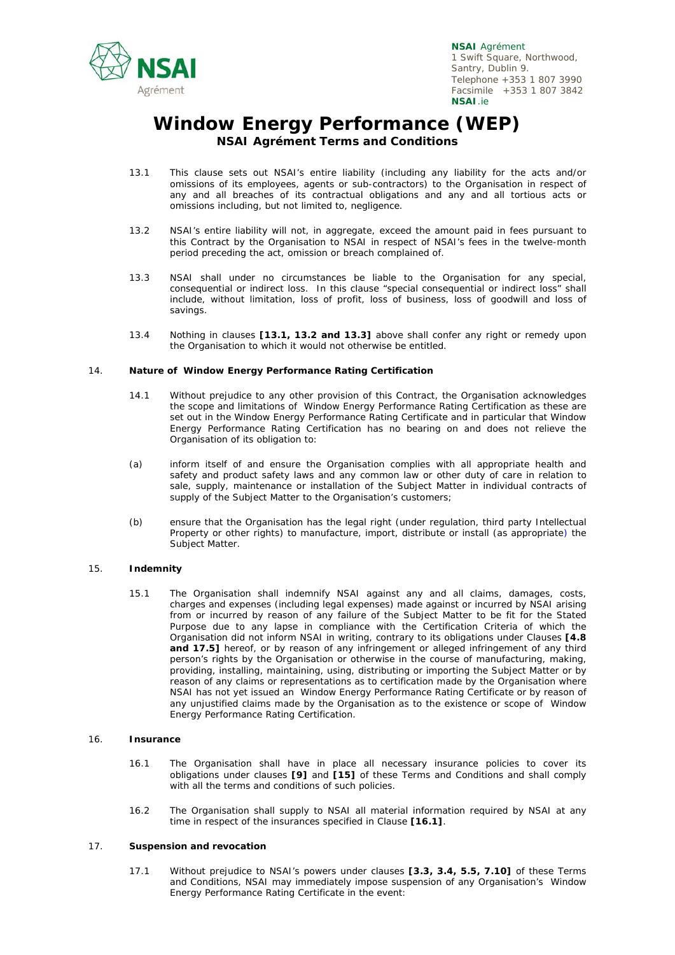

## **Window Energy Performance (WEP) NSAI Agrément Terms and Conditions**

- 13.1 This clause sets out NSAI's entire liability (including any liability for the acts and/or omissions of its employees, agents or sub-contractors) to the Organisation in respect of any and all breaches of its contractual obligations and any and all tortious acts or omissions including, but not limited to, negligence.
- 13.2 NSAI's entire liability will not, in aggregate, exceed the amount paid in fees pursuant to this Contract by the Organisation to NSAI in respect of NSAI's fees in the twelve-month period preceding the act, omission or breach complained of.
- 13.3 NSAI shall under no circumstances be liable to the Organisation for any special, consequential or indirect loss. In this clause "*special consequential or indirect loss*" shall include, without limitation, loss of profit, loss of business, loss of goodwill and loss of savings.
- 13.4 Nothing in clauses **[13.1, 13.2 and 13.3]** above shall confer any right or remedy upon the Organisation to which it would not otherwise be entitled.

#### 14. **Nature of Window Energy Performance Rating Certification**

- 14.1 Without prejudice to any other provision of this Contract, the Organisation acknowledges the scope and limitations of Window Energy Performance Rating Certification as these are set out in the Window Energy Performance Rating Certificate and in particular that Window Energy Performance Rating Certification has no bearing on and does not relieve the Organisation of its obligation to:
- (a) inform itself of and ensure the Organisation complies with all appropriate health and safety and product safety laws and any common law or other duty of care in relation to sale, supply, maintenance or installation of the Subject Matter in individual contracts of supply of the Subject Matter to the Organisation's customers;
- (b) ensure that the Organisation has the legal right (under regulation, third party Intellectual Property or other rights) to manufacture, import, distribute or install (as appropriate) the Subject Matter.

#### 15. **Indemnity**

15.1 The Organisation shall indemnify NSAI against any and all claims, damages, costs, charges and expenses (including legal expenses) made against or incurred by NSAI arising from or incurred by reason of any failure of the Subject Matter to be fit for the Stated Purpose due to any lapse in compliance with the Certification Criteria of which the Organisation did not inform NSAI in writing, contrary to its obligations under Clauses **[4.8 and 17.5]** hereof, or by reason of any infringement or alleged infringement of any third person's rights by the Organisation or otherwise in the course of manufacturing, making, providing, installing, maintaining, using, distributing or importing the Subject Matter or by reason of any claims or representations as to certification made by the Organisation where NSAI has not yet issued an Window Energy Performance Rating Certificate or by reason of any unjustified claims made by the Organisation as to the existence or scope of Window Energy Performance Rating Certification.

#### 16. **Insurance**

- 16.1 The Organisation shall have in place all necessary insurance policies to cover its obligations under clauses **[9]** and **[15]** of these Terms and Conditions and shall comply with all the terms and conditions of such policies.
- 16.2 The Organisation shall supply to NSAI all material information required by NSAI at any time in respect of the insurances specified in Clause **[16.1]**.

#### 17. **Suspension and revocation**

17.1 Without prejudice to NSAI's powers under clauses **[3.3, 3.4, 5.5, 7.10]** of these Terms and Conditions, NSAI may immediately impose suspension of any Organisation's Window Energy Performance Rating Certificate in the event: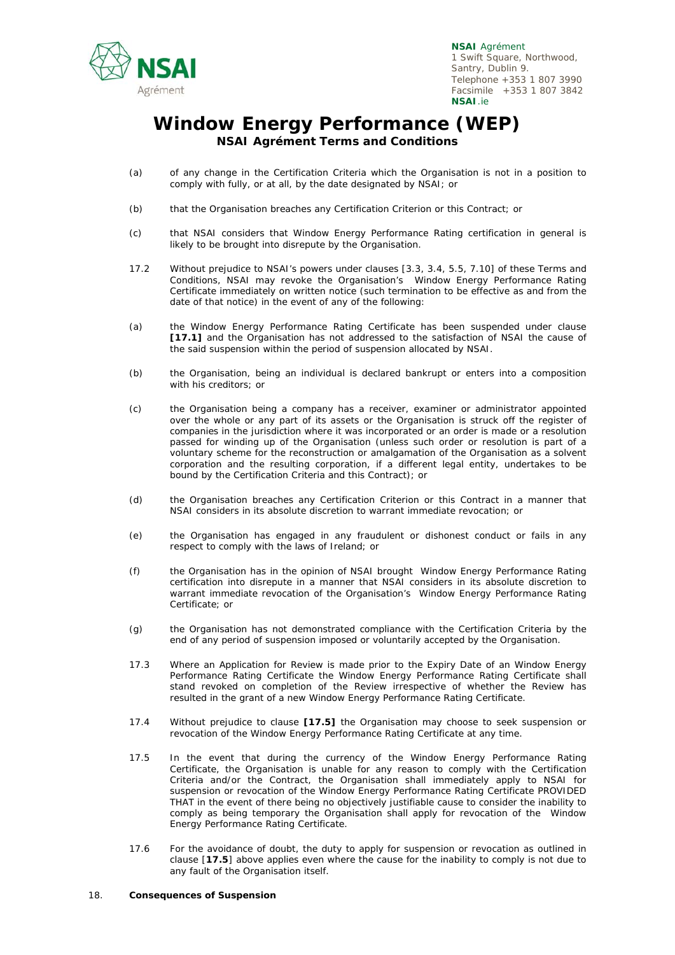

# **Window Energy Performance (WEP) NSAI Agrément Terms and Conditions**

- (a) of any change in the Certification Criteria which the Organisation is not in a position to comply with fully, or at all, by the date designated by NSAI; or
- (b) that the Organisation breaches any Certification Criterion or this Contract; or
- (c) that NSAI considers that Window Energy Performance Rating certification in general is likely to be brought into disrepute by the Organisation.
- 17.2 Without prejudice to NSAI's powers under clauses [3.3, 3.4, 5.5, 7.10] of these Terms and Conditions, NSAI may revoke the Organisation's Window Energy Performance Rating Certificate immediately on written notice (such termination to be effective as and from the date of that notice) in the event of any of the following:
- (a) the Window Energy Performance Rating Certificate has been suspended under clause **[17.1]** and the Organisation has not addressed to the satisfaction of NSAI the cause of the said suspension within the period of suspension allocated by NSAI.
- (b) the Organisation, being an individual is declared bankrupt or enters into a composition with his creditors; or
- (c) the Organisation being a company has a receiver, examiner or administrator appointed over the whole or any part of its assets or the Organisation is struck off the register of companies in the jurisdiction where it was incorporated or an order is made or a resolution passed for winding up of the Organisation (unless such order or resolution is part of a voluntary scheme for the reconstruction or amalgamation of the Organisation as a solvent corporation and the resulting corporation, if a different legal entity, undertakes to be bound by the Certification Criteria and this Contract); or
- (d) the Organisation breaches any Certification Criterion or this Contract in a manner that NSAI considers in its absolute discretion to warrant immediate revocation; or
- (e) the Organisation has engaged in any fraudulent or dishonest conduct or fails in any respect to comply with the laws of Ireland; or
- (f) the Organisation has in the opinion of NSAI brought Window Energy Performance Rating certification into disrepute in a manner that NSAI considers in its absolute discretion to warrant immediate revocation of the Organisation's Window Energy Performance Rating Certificate; or
- (g) the Organisation has not demonstrated compliance with the Certification Criteria by the end of any period of suspension imposed or voluntarily accepted by the Organisation.
- 17.3 Where an Application for Review is made prior to the Expiry Date of an Window Energy Performance Rating Certificate the Window Energy Performance Rating Certificate shall stand revoked on completion of the Review irrespective of whether the Review has resulted in the grant of a new Window Energy Performance Rating Certificate.
- 17.4 Without prejudice to clause **[17.5]** the Organisation may choose to seek suspension or revocation of the Window Energy Performance Rating Certificate at any time.
- 17.5 In the event that during the currency of the Window Energy Performance Rating Certificate, the Organisation is unable for any reason to comply with the Certification Criteria and/or the Contract, the Organisation shall immediately apply to NSAI for suspension or revocation of the Window Energy Performance Rating Certificate PROVIDED THAT in the event of there being no objectively justifiable cause to consider the inability to comply as being temporary the Organisation shall apply for revocation of the Window Energy Performance Rating Certificate.
- 17.6 For the avoidance of doubt, the duty to apply for suspension or revocation as outlined in clause [**17.5**] above applies even where the cause for the inability to comply is not due to any fault of the Organisation itself.

#### 18. **Consequences of Suspension**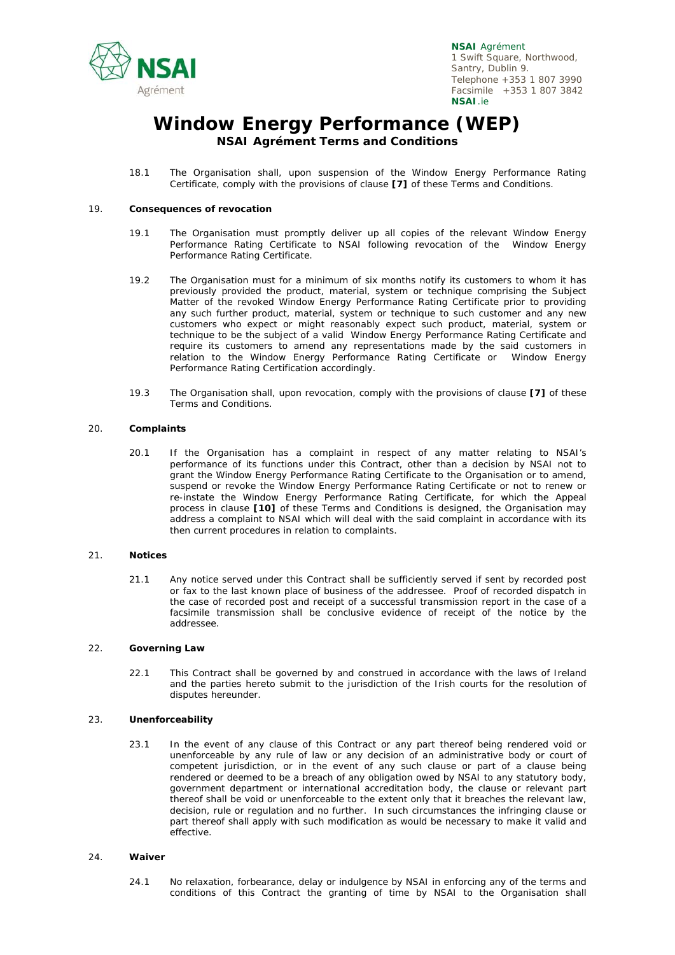

### **Window Energy Performance (WEP) NSAI Agrément Terms and Conditions**

18.1 The Organisation shall, upon suspension of the Window Energy Performance Rating Certificate, comply with the provisions of clause **[7]** of these Terms and Conditions.

#### 19. **Consequences of revocation**

- 19.1 The Organisation must promptly deliver up all copies of the relevant Window Energy Performance Rating Certificate to NSAI following revocation of the Window Energy Performance Rating Certificate.
- 19.2 The Organisation must for a minimum of six months notify its customers to whom it has previously provided the product, material, system or technique comprising the Subject Matter of the revoked Window Energy Performance Rating Certificate prior to providing any such further product, material, system or technique to such customer and any new customers who expect or might reasonably expect such product, material, system or technique to be the subject of a valid Window Energy Performance Rating Certificate and require its customers to amend any representations made by the said customers in relation to the Window Energy Performance Rating Certificate or Window Energy Performance Rating Certification accordingly.
- 19.3 The Organisation shall, upon revocation, comply with the provisions of clause **[7]** of these Terms and Conditions.

#### 20. **Complaints**

20.1 If the Organisation has a complaint in respect of any matter relating to NSAI's performance of its functions under this Contract, other than a decision by NSAI not to grant the Window Energy Performance Rating Certificate to the Organisation or to amend, suspend or revoke the Window Energy Performance Rating Certificate or not to renew or re-instate the Window Energy Performance Rating Certificate, for which the Appeal process in clause **[10]** of these Terms and Conditions is designed, the Organisation may address a complaint to NSAI which will deal with the said complaint in accordance with its then current procedures in relation to complaints.

#### 21. **Notices**

21.1 Any notice served under this Contract shall be sufficiently served if sent by recorded post or fax to the last known place of business of the addressee. Proof of recorded dispatch in the case of recorded post and receipt of a successful transmission report in the case of a facsimile transmission shall be conclusive evidence of receipt of the notice by the addressee.

#### 22. **Governing Law**

22.1 This Contract shall be governed by and construed in accordance with the laws of Ireland and the parties hereto submit to the jurisdiction of the Irish courts for the resolution of disputes hereunder.

#### 23. **Unenforceability**

23.1 In the event of any clause of this Contract or any part thereof being rendered void or unenforceable by any rule of law or any decision of an administrative body or court of competent jurisdiction, or in the event of any such clause or part of a clause being rendered or deemed to be a breach of any obligation owed by NSAI to any statutory body, government department or international accreditation body, the clause or relevant part thereof shall be void or unenforceable to the extent only that it breaches the relevant law, decision, rule or regulation and no further. In such circumstances the infringing clause or part thereof shall apply with such modification as would be necessary to make it valid and effective.

#### 24. **Waiver**

24.1 No relaxation, forbearance, delay or indulgence by NSAI in enforcing any of the terms and conditions of this Contract the granting of time by NSAI to the Organisation shall